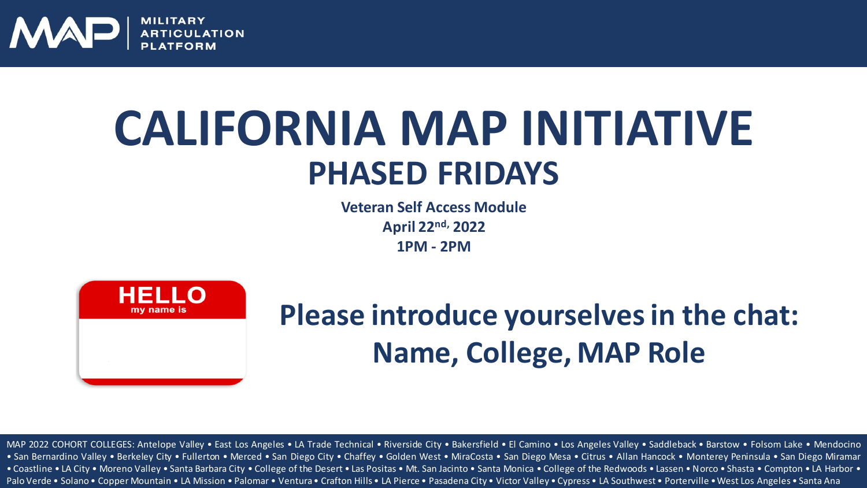

### **PHASED FRIDAYS CALIFORNIA MAP INITIATIVE**

**Veteran Self Access Module April 22nd, 2022 1PM - 2PM**



### **Please introduce yourselves in the chat: Name, College, MAP Role**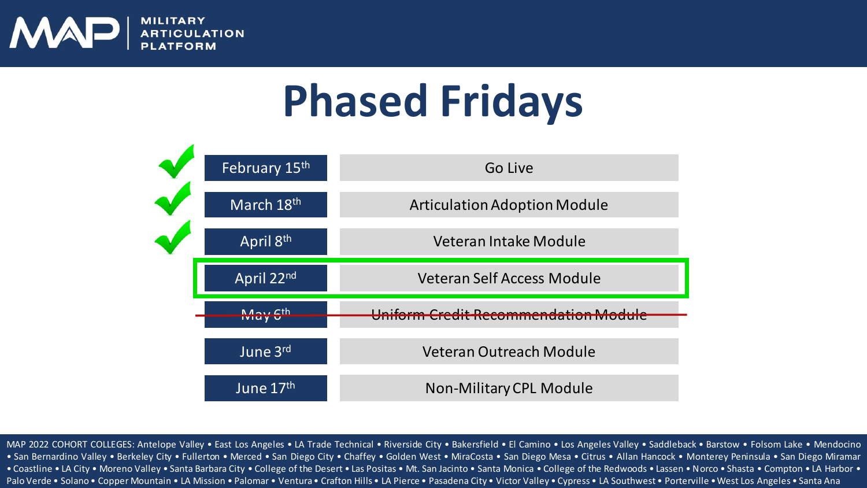

### **Phased Fridays**

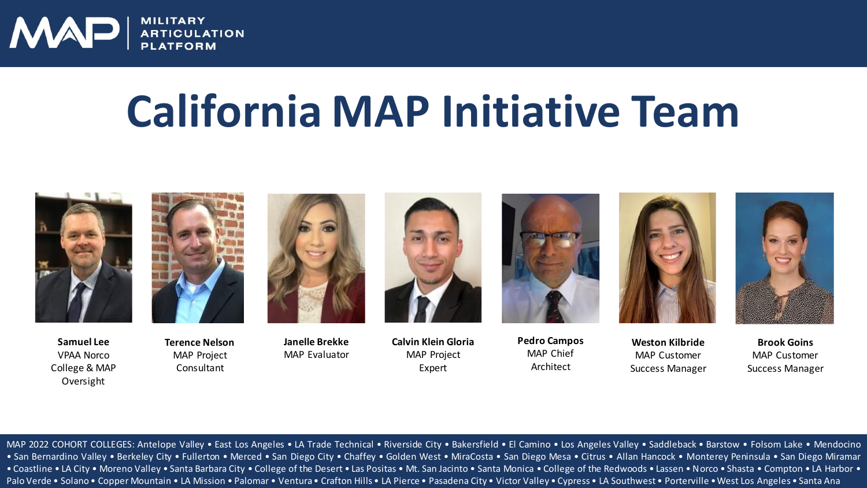

### **California MAP Initiative Team**



**Samuel Lee** VPAA Norco College & MAP Oversight



**Terence Nelson** MAP Project Consultant



**Janelle Brekke** MAP Evaluator



**Calvin Klein Gloria** MAP Project Expert



**Pedro Campos** MAP Chief Architect



**Weston Kilbride** MAP Customer Success Manager

**Brook Goins** MAP Customer Success Manager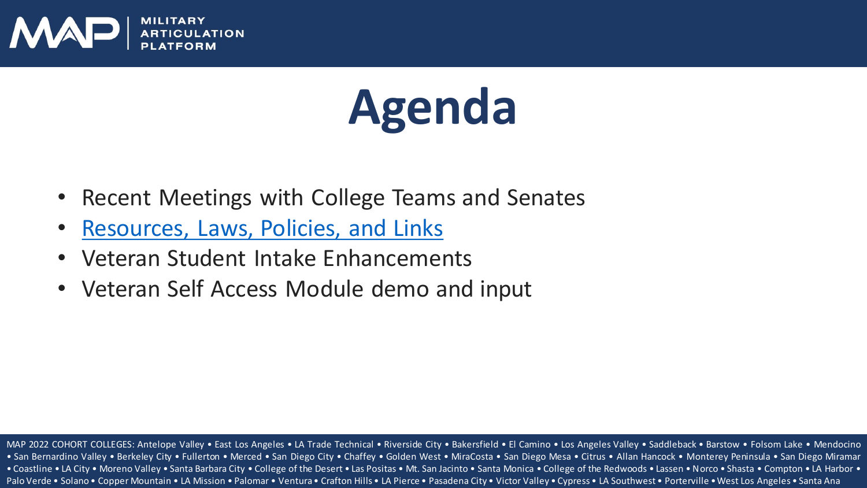

# **Agenda**

- Recent Meetings with College Teams and Senates
- [Resources, Laws, Policies, and Links](https://www.norcocollege.edu/services/enrollment/vrc/Documents/map/California-MAP-Initiative-Resources-and-Links-NC.pdf)
- Veteran Student Intake Enhancements
- Veteran Self Access Module demo and input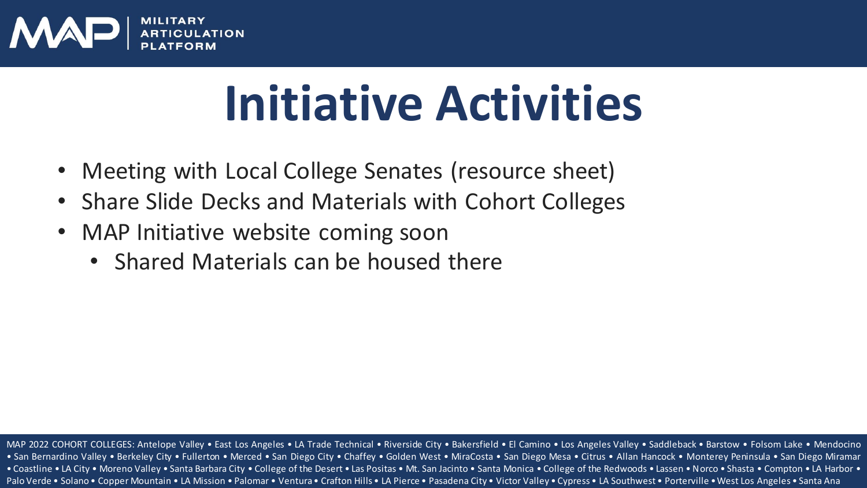

# **Initiative Activities**

- Meeting with Local College Senates (resource sheet)
- Share Slide Decks and Materials with Cohort Colleges
- MAP Initiative website coming soon
	- Shared Materials can be housed there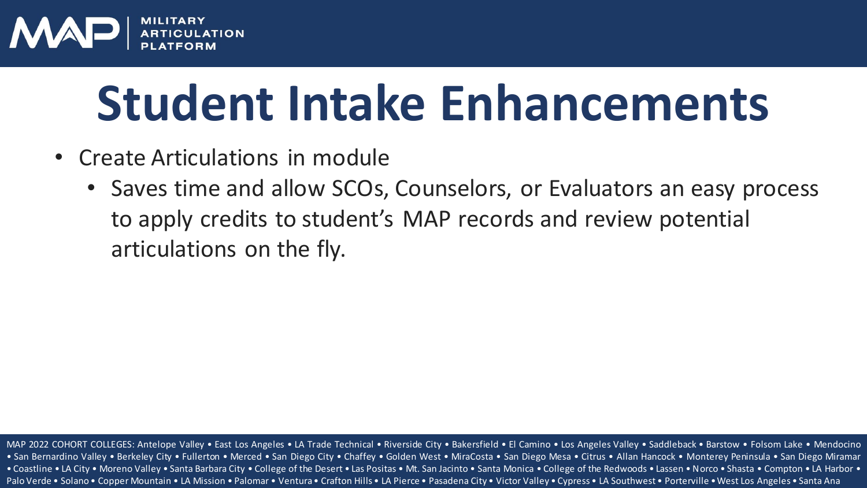

# **Student Intake Enhancements**

- Create Articulations in module
	- Saves time and allow SCOs, Counselors, or Evaluators an easy process to apply credits to student's MAP records and review potential articulations on the fly.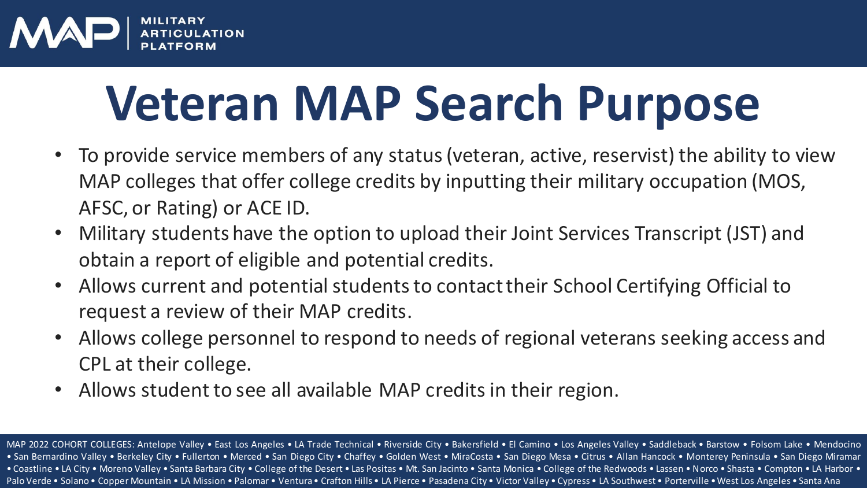

# **Veteran MAP Search Purpose**

- To provide service members of any status (veteran, active, reservist) the ability to view MAP colleges that offer college credits by inputting their military occupation (MOS, AFSC, or Rating) or ACE ID.
- Military students have the option to upload their Joint Services Transcript (JST) and obtain a report of eligible and potential credits.
- Allows current and potential students to contact their School Certifying Official to request a review of their MAP credits.
- Allows college personnel to respond to needs of regional veterans seeking access and CPL at their college.
- Allows student to see all available MAP credits in their region.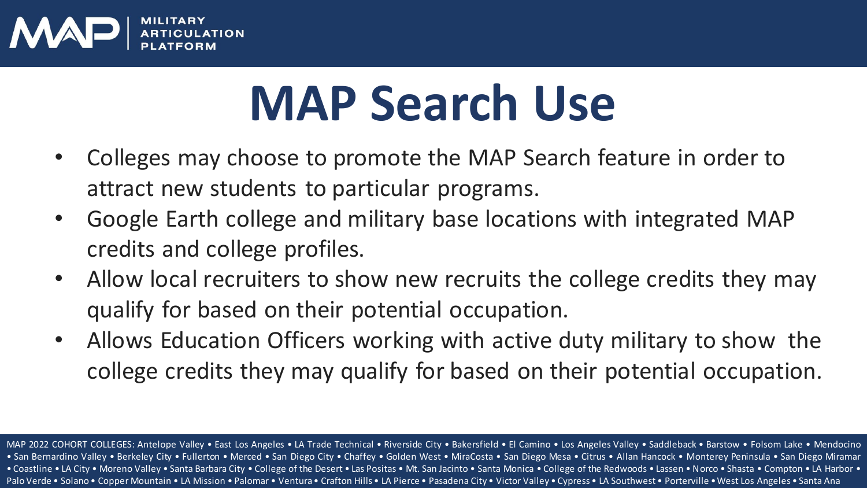

# **MAP Search Use**

- Colleges may choose to promote the MAP Search feature in order to attract new students to particular programs.
- Google Earth college and military base locations with integrated MAP credits and college profiles.
- Allow local recruiters to show new recruits the college credits they may qualify for based on their potential occupation.
- Allows Education Officers working with active duty military to show the college credits they may qualify for based on their potential occupation.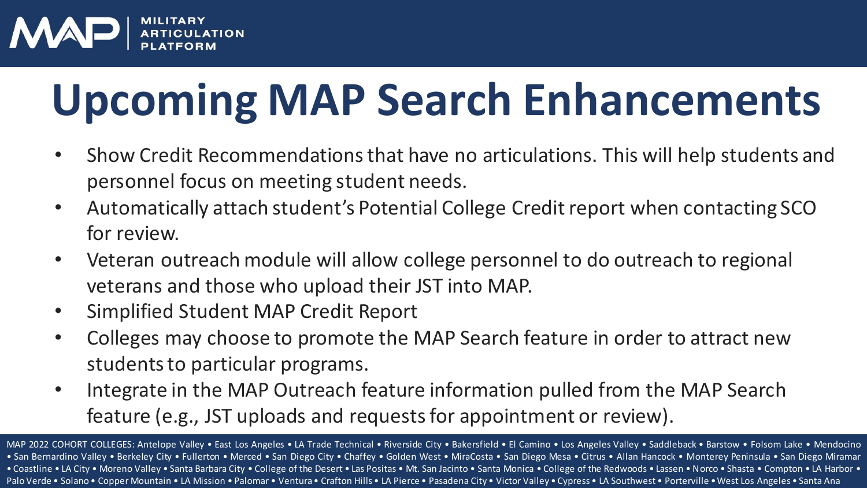

## **Upcoming MAP Search Enhancements**

- Show Credit Recommendations that have no articulations. This will help students and personnel focus on meeting student needs.
- Automatically attach student's Potential College Credit report when contacting SCO for review.
- Veteran outreach module will allow college personnel to do outreach to regional veterans and those who upload their JST into MAP.
- Simplified Student MAP Credit Report
- Colleges may choose to promote the MAP Search feature in order to attract new students to particular programs.
- Integrate in the MAP Outreach feature information pulled from the MAP Search feature (e.g., JST uploads and requests for appointment or review).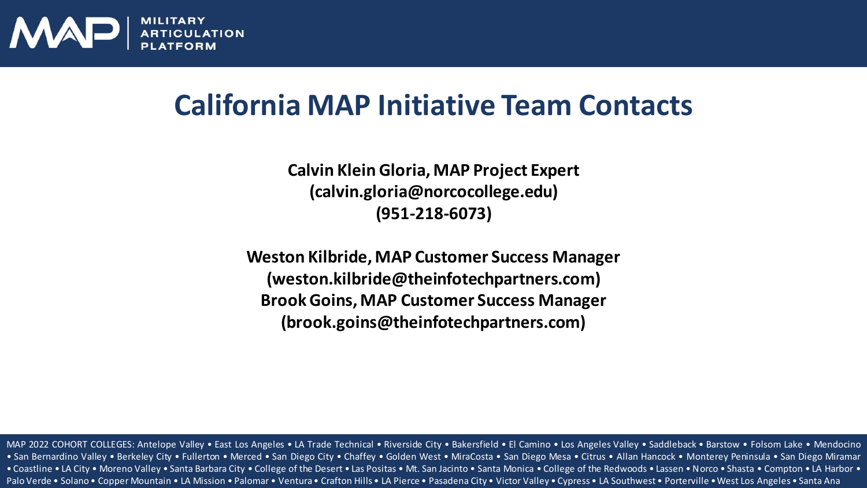

#### **California MAP Initiative Team Contacts**

**Calvin Klein Gloria, MAP Project Expert (calvin.gloria@norcocollege.edu) (951-218-6073)**

**Weston Kilbride, MAP Customer Success Manager (weston.kilbride@theinfotechpartners.com) Brook Goins, MAP Customer Success Manager (brook.goins@theinfotechpartners.com)**